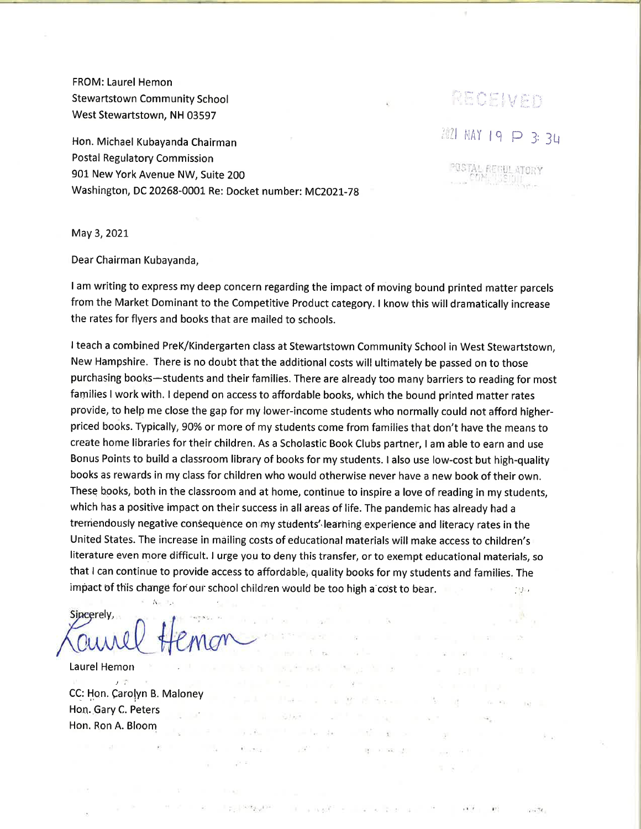FROM: Laurel Hemon Stewartstown Community School West Stewartstown, NH 03597

Hon. Michael Kubayanda Chairman Postal Regulatory Commission 901 New York Avenue NW, Suite 200 Washington, DC 20268-0001 Re: Docket number: MC2021-78 **2021 MAY 19 P 3: 34** PECEIVED

'us

May 3,202t

Dear Chairman Kubayanda,

<sup>I</sup>am writing to express my deep concern regarding the impact of moving bound printed matter parcels from the Market Dominant to the Competitive Product category. I know this will dramatically increase the rates for flyers and books that are mailed to schools.

<sup>I</sup>teach a combined PreK/Kindergarten class at Stewartstown Community School in West Stewartstown, New Hampshire. There is no doubt that the additional costs will ultimately be passed on to those purchasing books-students and their families. There are already too many barriers to reading for most families I work with. I depend on access to affordable books, which the bound printed matter rates provide, to help me close the gap for my lower-income students who normally could not afford higherpriced books. Typically, 90% or more of my students come from families that don't have the means to create home libraries for their children. As a Scholastic Book Clubs partner, I am able to earn and use Bonus Points to build a classroom library of books for my students. I also use low-cost but high-quality books as rewards in my class for children who would otherwise never have a new book of their own. These books, both in the classroom and at home, continue to inspire a love of reading in my students, which has a positive impact on their success in all areas of life. The pandemic has already had <sup>a</sup> tremendously negative consequence on my students' learning experience and literacy rates in the United States. The increase in mailing costs of educational materials will make access to children's literature even more dífficult. I urge you to deny this transfer, or to exernpt educational materials, so that I can continue to provide access to affordable; quality books for my students and families. The impact of this change for our school children would be too high a cost to bear.  $\Box$ 

S.

 $\overline{\Sigma}$ 

 $\mathbf{v} = \mathbf{W}^*$  . The following

 $\mathbb{R}^n$ 

No property to the second company of

图 2000 元

 $\sim$ 

The State

 $x + y = 1$ 

**State** 

the state of the con-

 $\mathbb{R}^{2^{\mathcal{O}}}$  . <br> <br> <br> <br> <br> <br> <br> <br> <br> <br><br> <br><br><br><br><br><br><br><br><br><br>

 $\mathbb{E}\left[\mathbb{E}_{\mathbb{E}^n}\right] \leq \mathbb{E}\left[\mathbb{E}_{\mathbb{E}^n}\right] \leq \mathbb{E}\left[\mathbb{E}_{\mathbb{E}^n}\right]$ 

 $\sim$   $\kappa$ Sincerely,

Laurel Hemon  $\mathbf{t}$  time  $\mathbf{t}$ CC: Hon. Carolyn B. Maloney Hon. Gary C. Peters Hon. Ron A. Bloom